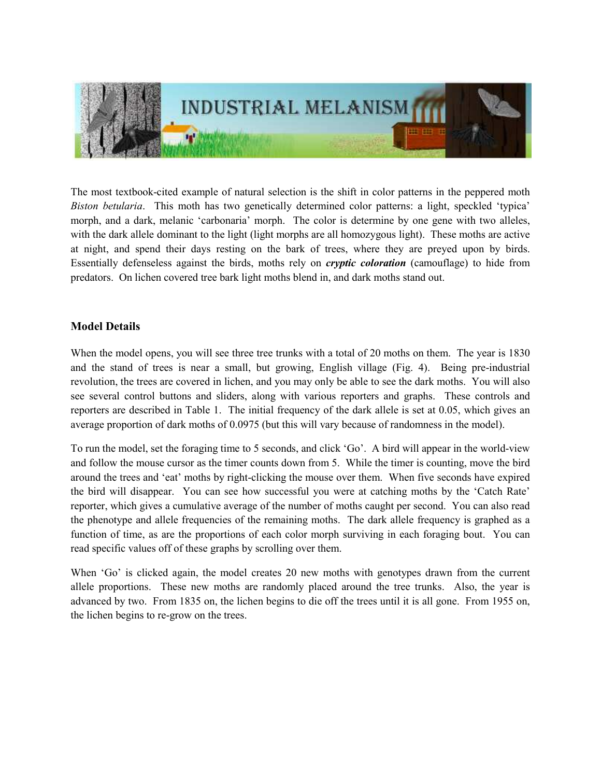

The most textbook-cited example of natural selection is the shift in color patterns in the peppered moth Biston betularia. This moth has two genetically determined color patterns: a light, speckled 'typica' morph, and a dark, melanic 'carbonaria' morph. The color is determine by one gene with two alleles, with the dark allele dominant to the light (light morphs are all homozygous light). These moths are active at night, and spend their days resting on the bark of trees, where they are preyed upon by birds. Essentially defenseless against the birds, moths rely on cryptic coloration (camouflage) to hide from predators. On lichen covered tree bark light moths blend in, and dark moths stand out.

## Model Details

When the model opens, you will see three tree trunks with a total of 20 moths on them. The year is 1830 and the stand of trees is near a small, but growing, English village (Fig. 4). Being pre-industrial revolution, the trees are covered in lichen, and you may only be able to see the dark moths. You will also see several control buttons and sliders, along with various reporters and graphs. These controls and reporters are described in Table 1. The initial frequency of the dark allele is set at 0.05, which gives an average proportion of dark moths of 0.0975 (but this will vary because of randomness in the model).

To run the model, set the foraging time to 5 seconds, and click 'Go'. A bird will appear in the world-view and follow the mouse cursor as the timer counts down from 5. While the timer is counting, move the bird around the trees and 'eat' moths by right-clicking the mouse over them. When five seconds have expired the bird will disappear. You can see how successful you were at catching moths by the 'Catch Rate' reporter, which gives a cumulative average of the number of moths caught per second. You can also read the phenotype and allele frequencies of the remaining moths. The dark allele frequency is graphed as a function of time, as are the proportions of each color morph surviving in each foraging bout. You can read specific values off of these graphs by scrolling over them.

When 'Go' is clicked again, the model creates 20 new moths with genotypes drawn from the current allele proportions. These new moths are randomly placed around the tree trunks. Also, the year is advanced by two. From 1835 on, the lichen begins to die off the trees until it is all gone. From 1955 on, the lichen begins to re-grow on the trees.